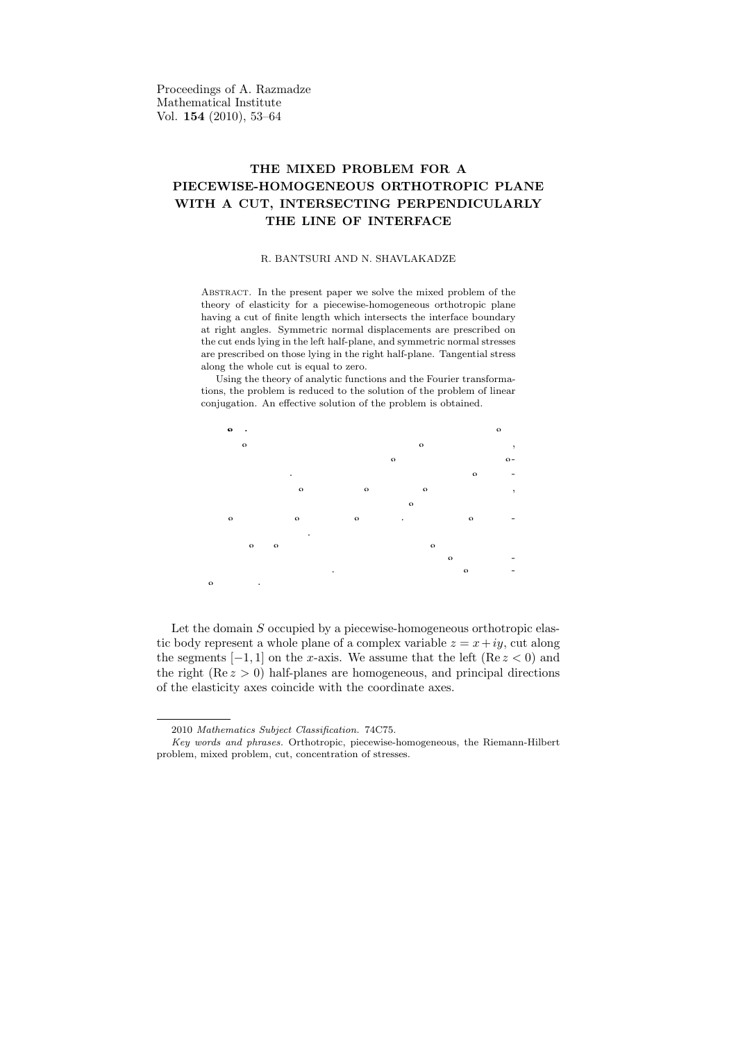Proceedings of A. Razmadze Mathematical Institute Vol. 154 (2010), 53–64

## THE MIXED PROBLEM FOR A PIECEWISE-HOMOGENEOUS ORTHOTROPIC PLANE WITH A CUT, INTERSECTING PERPENDICULARLY THE LINE OF INTERFACE

## R. BANTSURI AND N. SHAVLAKADZE

Abstract. In the present paper we solve the mixed problem of the theory of elasticity for a piecewise-homogeneous orthotropic plane having a cut of finite length which intersects the interface boundary at right angles. Symmetric normal displacements are prescribed on the cut ends lying in the left half-plane, and symmetric normal stresses are prescribed on those lying in the right half-plane. Tangential stress along the whole cut is equal to zero.

Using the theory of analytic functions and the Fourier transformations, the problem is reduced to the solution of the problem of linear conjugation. An effective solution of the problem is obtained.

 $\epsilon$ უზიუმე. ნაშრომში ამოხსნილია დრეკადობის თეორიის შერეული  $\delta$ პმოცანა უბნობრივ ერთგვაროვანი ორთოტროპული სიბრტყისათვის,  $\epsilon$ რომელსაც აქვს გამყოფი წრფის მართი კუთხით გადამკვეთი სასრულო სიგრძის ჭრილი. მარცხენა ნახევარსიბრტყეში მოთავსებული ჭრილის ნაპირებზე მოცემულია სიმეტრიული ნორმალური გადაადგილება,  $b$ ოლო მარჯვენა ნახევარსიბრტყეში მოთავსებული ჭრილის ნაპირებზე  $d$ ოცემულია სიმეტრიული ნორმალური ძაბვა. მხები ძაბვა ნულის ტოლია ჭრილის ნაპირებზე.

 $\delta$ ანალიზურ ფუნქ $\tilde{g}$ იათა თეორიის და ინტეგრალური გარდაქმნების  $\lambda$ ამოყენებით ამოცანის ამოხსნა მიყვანილია წრფივი შეუღლების სასა- $\check{\text{a}}$ ღვრო პმოეანის პმოხსნაზე. "ამოცანის ამონახსნი მიღებულია ეფექ $i$ ური სახით.

Let the domain  $S$  occupied by a piecewise-homogeneous orthotropic elastic body represent a whole plane of a complex variable  $z = x + iy$ , cut along the segments  $[-1, 1]$  on the x-axis. We assume that the left  $(Re z < 0)$  and the right  $(Re z > 0)$  half-planes are homogeneous, and principal directions of the elasticity axes coincide with the coordinate axes.

<sup>2010</sup> Mathematics Subject Classification. 74C75.

Key words and phrases. Orthotropic, piecewise-homogeneous, the Riemann-Hilbert problem, mixed problem, cut, concentration of stresses.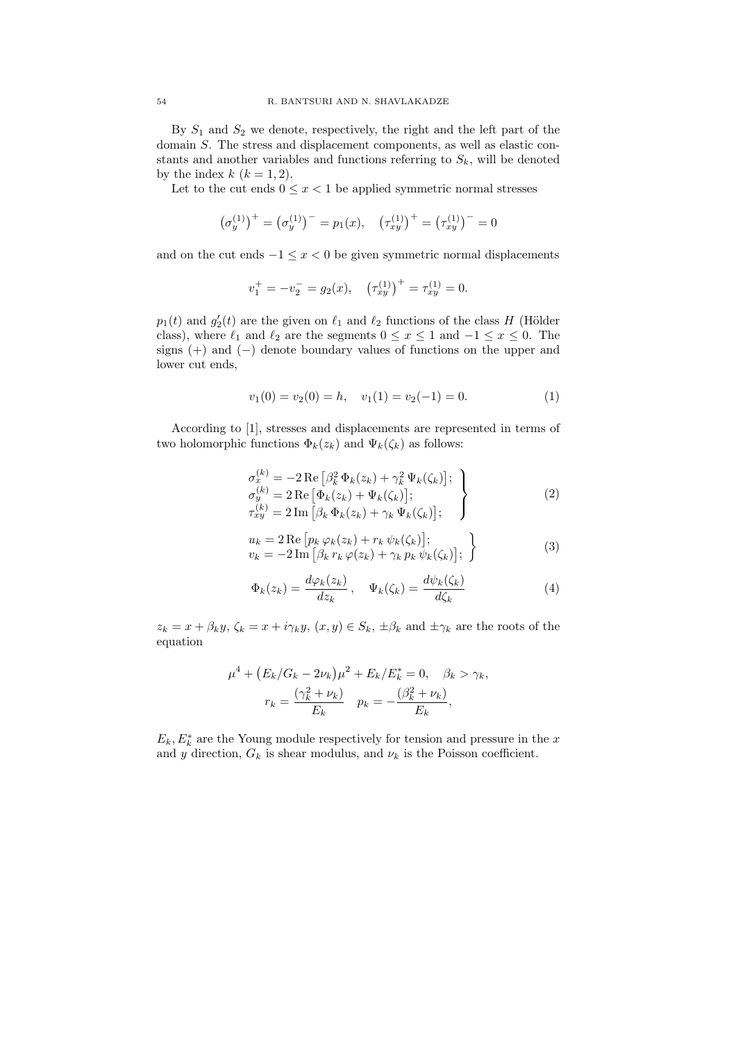By  $S_1$  and  $S_2$  we denote, respectively, the right and the left part of the domain S. The stress and displacement components, as well as elastic constants and another variables and functions referring to  $S_k$ , will be denoted by the index  $k$   $(k = 1, 2)$ .

Let to the cut ends  $0 \leq x < 1$  be applied symmetric normal stresses

$$
(\sigma_y^{(1)})^+ = (\sigma_y^{(1)})^- = p_1(x), \quad (\tau_{xy}^{(1)})^+ = (\tau_{xy}^{(1)})^- = 0
$$

and on the cut ends  $-1 \leq x < 0$  be given symmetric normal displacements

$$
v_1^+ = -v_2^- = g_2(x)
$$
,  $(\tau_{xy}^{(1)})^+ = \tau_{xy}^{(1)} = 0$ .

 $p_1(t)$  and  $g'_2(t)$  are the given on  $\ell_1$  and  $\ell_2$  functions of the class H (Hölder class), where  $\ell_1$  and  $\ell_2$  are the segments  $0 \le x \le 1$  and  $-1 \le x \le 0$ . The signs  $(+)$  and  $(-)$  denote boundary values of functions on the upper and lower cut ends,

$$
v_1(0) = v_2(0) = h, \quad v_1(1) = v_2(-1) = 0. \tag{1}
$$

According to [1], stresses and displacements are represented in terms of two holomorphic functions  $\Phi_k(z_k)$  and  $\Psi_k(\zeta_k)$  as follows:

$$
\sigma_x^{(k)} = -2 \operatorname{Re} \left[ \beta_k^2 \Phi_k(z_k) + \gamma_k^2 \Psi_k(\zeta_k) \right];
$$
\n
$$
\sigma_y^{(k)} = 2 \operatorname{Re} \left[ \Phi_k(z_k) + \Psi_k(\zeta_k) \right];
$$
\n
$$
\tau_{xy}^{(k)} = 2 \operatorname{Im} \left[ \beta_k \Phi_k(z_k) + \gamma_k \Psi_k(\zeta_k) \right];
$$
\n(2)

$$
u_k = 2 \operatorname{Re} \left[ p_k \varphi_k(z_k) + r_k \psi_k(\zeta_k) \right];
$$
  
\n
$$
v_k = -2 \operatorname{Im} \left[ \beta_k r_k \varphi(z_k) + \gamma_k p_k \psi_k(\zeta_k) \right];
$$
\n(3)

$$
\Phi_k(z_k) = \frac{d\varphi_k(z_k)}{dz_k}, \quad \Psi_k(\zeta_k) = \frac{d\psi_k(\zeta_k)}{d\zeta_k}
$$
\n(4)

 $z_k = x + \beta_k y$ ,  $\zeta_k = x + i\gamma_k y$ ,  $(x, y) \in S_k$ ,  $\pm \beta_k$  and  $\pm \gamma_k$  are the roots of the equation

$$
\mu^{4} + (E_{k}/G_{k} - 2\nu_{k})\mu^{2} + E_{k}/E_{k}^{*} = 0, \quad \beta_{k} > \gamma_{k},
$$

$$
r_{k} = \frac{(\gamma_{k}^{2} + \nu_{k})}{E_{k}} \quad p_{k} = -\frac{(\beta_{k}^{2} + \nu_{k})}{E_{k}},
$$

 $E_k, E_k^*$  are the Young module respectively for tension and pressure in the x and y direction,  $G_k$  is shear modulus, and  $\nu_k$  is the Poisson coefficient.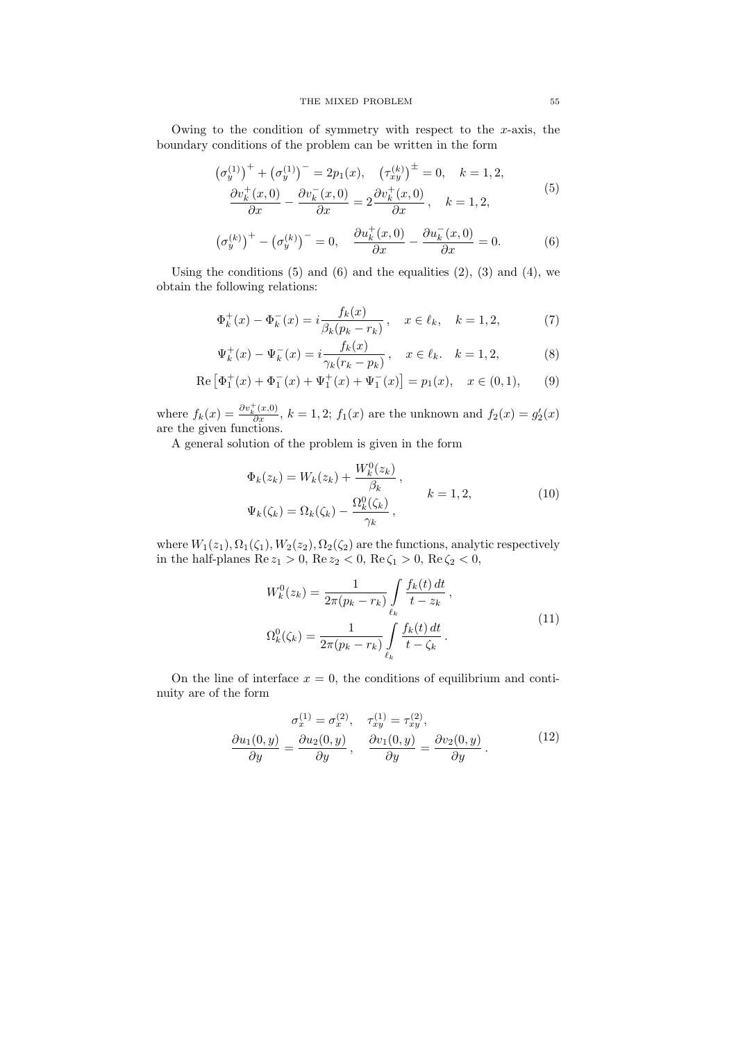Owing to the condition of symmetry with respect to the  $x$ -axis, the boundary conditions of the problem can be written in the form

$$
\left(\sigma_{y}^{(1)}\right)^{+} + \left(\sigma_{y}^{(1)}\right)^{-} = 2p_{1}(x), \quad \left(\tau_{xy}^{(k)}\right)^{\pm} = 0, \quad k = 1, 2,
$$
\n
$$
\frac{\partial v_{k}^{+}(x,0)}{\partial x} - \frac{\partial v_{k}^{-}(x,0)}{\partial x} = 2\frac{\partial v_{k}^{+}(x,0)}{\partial x}, \quad k = 1, 2,
$$
\n(5)

$$
\left(\sigma_y^{(k)}\right)^+ - \left(\sigma_y^{(k)}\right)^- = 0, \quad \frac{\partial u_k^+(x,0)}{\partial x} - \frac{\partial u_k^-(x,0)}{\partial x} = 0. \tag{6}
$$

Using the conditions  $(5)$  and  $(6)$  and the equalities  $(2)$ ,  $(3)$  and  $(4)$ , we obtain the following relations:

$$
\Phi_k^+(x) - \Phi_k^-(x) = i \frac{f_k(x)}{\beta_k (p_k - r_k)}, \quad x \in \ell_k, \quad k = 1, 2,
$$
 (7)

$$
\Psi_k^+(x) - \Psi_k^-(x) = i \frac{f_k(x)}{\gamma_k(r_k - p_k)}, \quad x \in \ell_k, \quad k = 1, 2,
$$
\n(8)

Re 
$$
[\Phi_1^+(x) + \Phi_1^-(x) + \Psi_1^+(x) + \Psi_1^-(x)] = p_1(x), \quad x \in (0,1),
$$
 (9)

where  $f_k(x) = \frac{\partial v_k^+(x,0)}{\partial x}$ ,  $k = 1,2$ ;  $f_1(x)$  are the unknown and  $f_2(x) = g'_2(x)$ are the given functions.

A general solution of the problem is given in the form

$$
\Phi_k(z_k) = W_k(z_k) + \frac{W_k^0(z_k)}{\beta_k},
$$
\n
$$
\Psi_k(\zeta_k) = \Omega_k(\zeta_k) - \frac{\Omega_k^0(\zeta_k)}{\gamma_k},
$$
\n
$$
k = 1, 2,
$$
\n(10)

where  $W_1(z_1), \Omega_1(\zeta_1), W_2(z_2), \Omega_2(\zeta_2)$  are the functions, analytic respectively in the half-planes  $\text{Re } z_1 > 0$ ,  $\text{Re } z_2 < 0$ ,  $\text{Re } \zeta_1 > 0$ ,  $\text{Re } \zeta_2 < 0$ ,

$$
W_k^0(z_k) = \frac{1}{2\pi (p_k - r_k)} \int_{\ell_k} \frac{f_k(t) dt}{t - z_k},
$$
  

$$
\Omega_k^0(\zeta_k) = \frac{1}{2\pi (p_k - r_k)} \int_{\ell_k} \frac{f_k(t) dt}{t - \zeta_k}.
$$
 (11)

On the line of interface  $x = 0$ , the conditions of equilibrium and continuity are of the form

$$
\frac{\sigma_x^{(1)} = \sigma_x^{(2)}, \quad \tau_{xy}^{(1)} = \tau_{xy}^{(2)}, \n\frac{\partial u_1(0, y)}{\partial y} = \frac{\partial u_2(0, y)}{\partial y}, \quad \frac{\partial v_1(0, y)}{\partial y} = \frac{\partial v_2(0, y)}{\partial y}.
$$
\n(12)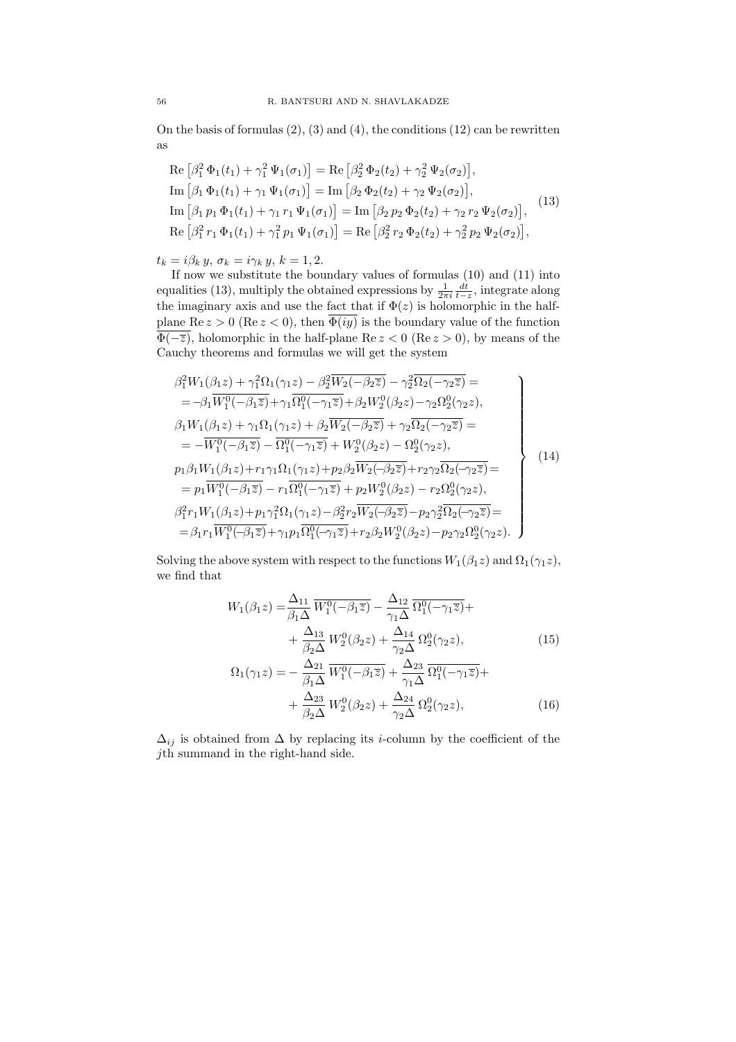On the basis of formulas  $(2)$ ,  $(3)$  and  $(4)$ , the conditions  $(12)$  can be rewritten as

Re 
$$
\left[\beta_1^2 \Phi_1(t_1) + \gamma_1^2 \Psi_1(\sigma_1)\right]
$$
 = Re  $\left[\beta_2^2 \Phi_2(t_2) + \gamma_2^2 \Psi_2(\sigma_2)\right]$ ,  
\nIm  $\left[\beta_1 \Phi_1(t_1) + \gamma_1 \Psi_1(\sigma_1)\right]$  = Im  $\left[\beta_2 \Phi_2(t_2) + \gamma_2 \Psi_2(\sigma_2)\right]$ ,  
\nIm  $\left[\beta_1 p_1 \Phi_1(t_1) + \gamma_1 r_1 \Psi_1(\sigma_1)\right]$  = Im  $\left[\beta_2 p_2 \Phi_2(t_2) + \gamma_2 r_2 \Psi_2(\sigma_2)\right]$ ,  
\nRe  $\left[\beta_1^2 r_1 \Phi_1(t_1) + \gamma_1^2 p_1 \Psi_1(\sigma_1)\right]$  = Re  $\left[\beta_2^2 r_2 \Phi_2(t_2) + \gamma_2^2 p_2 \Psi_2(\sigma_2)\right]$ , (13)

 $t_k = i \beta_k \, y, \, \sigma_k = i \gamma_k \, y, \, k = 1,2.$ 

If now we substitute the boundary values of formulas (10) and (11) into equalities (13), multiply the obtained expressions by  $\frac{1}{2\pi i} \frac{dt}{t-z}$ , integrate along the imaginary axis and use the fact that if  $\Phi(z)$  is holomorphic in the halfplane Re  $z > 0$  (Re  $z < 0$ ), then  $\overline{\Phi(iy)}$  is the boundary value of the function  $\overline{\Phi(-\overline{z})}$ , holomorphic in the half-plane Re  $z < 0$  (Re  $z > 0$ ), by means of the Cauchy theorems and formulas we will get the system

$$
\beta_1^2 W_1(\beta_1 z) + \gamma_1^2 \Omega_1(\gamma_1 z) - \beta_2^2 \overline{W_2(-\beta_2 z)} - \gamma_2^2 \overline{\Omega_2(-\gamma_2 z)} =
$$
\n
$$
= -\beta_1 \overline{W_1^0(-\beta_1 z)} + \gamma_1 \overline{\Omega_1^0(-\gamma_1 z)} + \beta_2 W_2^0(\beta_2 z) - \gamma_2 \Omega_2^0(\gamma_2 z),
$$
\n
$$
\beta_1 W_1(\beta_1 z) + \gamma_1 \Omega_1(\gamma_1 z) + \beta_2 \overline{W_2(-\beta_2 z)} + \gamma_2 \overline{\Omega_2(-\gamma_2 z)} =
$$
\n
$$
= -\overline{W_1^0(-\beta_1 z)} - \overline{\Omega_1^0(-\gamma_1 z)} + W_2^0(\beta_2 z) - \Omega_2^0(\gamma_2 z),
$$
\n
$$
p_1 \beta_1 W_1(\beta_1 z) + r_1 \gamma_1 \Omega_1(\gamma_1 z) + p_2 \beta_2 \overline{W_2(-\beta_2 z)} + r_2 \gamma_2 \overline{\Omega_2(-\gamma_2 z)} =
$$
\n
$$
= p_1 \overline{W_1^0(-\beta_1 z)} - r_1 \overline{\Omega_1^0(-\gamma_1 z)} + p_2 W_2^0(\beta_2 z) - r_2 \Omega_2^0(\gamma_2 z),
$$
\n
$$
\beta_1^2 r_1 W_1(\beta_1 z) + p_1 \gamma_1^2 \Omega_1(\gamma_1 z) - \beta_2^2 r_2 \overline{W_2(-\beta_2 z)} - p_2 \gamma_2^2 \overline{\Omega_2(-\gamma_2 z)} =
$$
\n
$$
= \beta_1 r_1 \overline{W_1^0(-\beta_1 z)} + \gamma_1 p_1 \overline{\Omega_1^0(-\gamma_1 z)} + r_2 \beta_2 W_2^0(\beta_2 z) - p_2 \gamma_2 \Omega_2^0(\gamma_2 z).
$$
\n(14)

Solving the above system with respect to the functions  $W_1(\beta_1 z)$  and  $\Omega_1(\gamma_1 z)$ , we find that

$$
W_1(\beta_1 z) = \frac{\Delta_{11}}{\beta_1 \Delta} \overline{W_1^0(-\beta_1 \overline{z})} - \frac{\Delta_{12}}{\gamma_1 \Delta} \overline{\Omega_1^0(-\gamma_1 \overline{z})} + + \frac{\Delta_{13}}{\beta_2 \Delta} W_2^0(\beta_2 z) + \frac{\Delta_{14}}{\gamma_2 \Delta} \Omega_2^0(\gamma_2 z),
$$
(15)

$$
\Omega_1(\gamma_1 z) = -\frac{\Delta_{21}}{\beta_1 \Delta} \overline{W_1^0(-\beta_1 \overline{z})} + \frac{\Delta_{23}}{\gamma_1 \Delta} \overline{\Omega_1^0(-\gamma_1 \overline{z})} + \frac{\Delta_{23}}{\beta_2 \Delta} W_2^0(\beta_2 z) + \frac{\Delta_{24}}{\gamma_2 \Delta} \Omega_2^0(\gamma_2 z), \tag{16}
$$

 $\Delta_{ij}$  is obtained from  $\Delta$  by replacing its *i*-column by the coefficient of the jth summand in the right-hand side.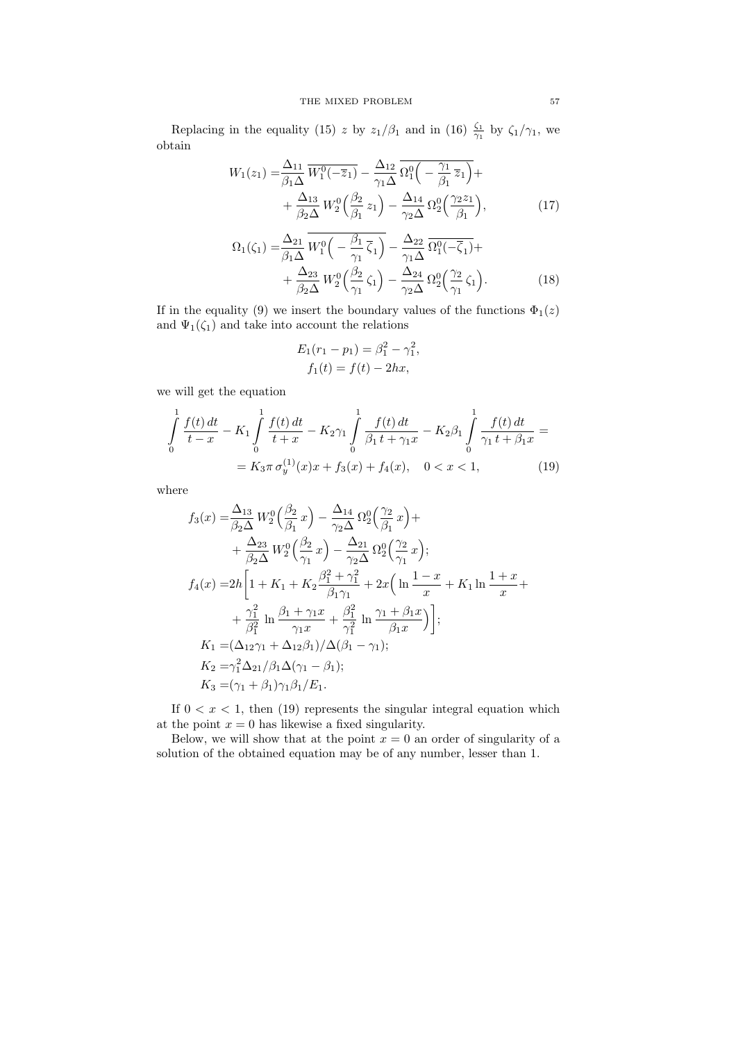Replacing in the equality (15) z by  $z_1/\beta_1$  and in (16)  $\frac{\zeta_1}{\gamma_1}$  by  $\zeta_1/\gamma_1$ , we obtain

$$
W_1(z_1) = \frac{\Delta_{11}}{\beta_1 \Delta} \overline{W_1^0(-\overline{z}_1)} - \frac{\Delta_{12}}{\gamma_1 \Delta} \overline{\Omega_1^0\left(-\frac{\gamma_1}{\beta_1} \overline{z}_1\right)} + \frac{\Delta_{13}}{\beta_2 \Delta} W_2^0\left(\frac{\beta_2}{\beta_1} z_1\right) - \frac{\Delta_{14}}{\gamma_2 \Delta} \Omega_2^0\left(\frac{\gamma_2 z_1}{\beta_1}\right),\tag{17}
$$

$$
\Omega_1(\zeta_1) = \frac{\Delta_{21}}{\beta_1 \Delta} W_1^0 \left( -\frac{\beta_1}{\gamma_1} \overline{\zeta}_1 \right) - \frac{\Delta_{22}}{\gamma_1 \Delta} \overline{\Omega_1^0(-\overline{\zeta}_1)} + + \frac{\Delta_{23}}{\beta_2 \Delta} W_2^0 \left( \frac{\beta_2}{\gamma_1} \zeta_1 \right) - \frac{\Delta_{24}}{\gamma_2 \Delta} \Omega_2^0 \left( \frac{\gamma_2}{\gamma_1} \zeta_1 \right).
$$
\n(18)

If in the equality (9) we insert the boundary values of the functions  $\Phi_1(z)$ and  $\Psi_1(\zeta_1)$  and take into account the relations

$$
E_1(r_1 - p_1) = \beta_1^2 - \gamma_1^2,
$$
  

$$
f_1(t) = f(t) - 2hx,
$$

we will get the equation

$$
\int_{0}^{1} \frac{f(t) dt}{t - x} - K_{1} \int_{0}^{1} \frac{f(t) dt}{t + x} - K_{2} \gamma_{1} \int_{0}^{1} \frac{f(t) dt}{\beta_{1} t + \gamma_{1} x} - K_{2} \beta_{1} \int_{0}^{1} \frac{f(t) dt}{\gamma_{1} t + \beta_{1} x} =
$$
\n
$$
= K_{3} \pi \sigma_{y}^{(1)}(x) x + f_{3}(x) + f_{4}(x), \quad 0 < x < 1,
$$
\n(19)

where

$$
f_3(x) = \frac{\Delta_{13}}{\beta_2 \Delta} W_2^0 \left( \frac{\beta_2}{\beta_1} x \right) - \frac{\Delta_{14}}{\gamma_2 \Delta} \Omega_2^0 \left( \frac{\gamma_2}{\beta_1} x \right) + + \frac{\Delta_{23}}{\beta_2 \Delta} W_2^0 \left( \frac{\beta_2}{\gamma_1} x \right) - \frac{\Delta_{21}}{\gamma_2 \Delta} \Omega_2^0 \left( \frac{\gamma_2}{\gamma_1} x \right); f_4(x) = 2h \left[ 1 + K_1 + K_2 \frac{\beta_1^2 + \gamma_1^2}{\beta_1 \gamma_1} + 2x \left( \ln \frac{1 - x}{x} + K_1 \ln \frac{1 + x}{x} + \frac{\gamma_1^2}{\beta_1^2} \ln \frac{\beta_1 + \gamma_1 x}{\gamma_1 x} + \frac{\beta_1^2}{\gamma_1^2} \ln \frac{\gamma_1 + \beta_1 x}{\beta_1 x} \right) \right]; K_1 = (\Delta_{12} \gamma_1 + \Delta_{12} \beta_1) / \Delta(\beta_1 - \gamma_1); K_2 = \gamma_1^2 \Delta_{21} / \beta_1 \Delta(\gamma_1 - \beta_1); K_3 = (\gamma_1 + \beta_1) \gamma_1 \beta_1 / E_1.
$$

If  $0 < x < 1$ , then (19) represents the singular integral equation which at the point  $x = 0$  has likewise a fixed singularity.

Below, we will show that at the point  $x = 0$  an order of singularity of a solution of the obtained equation may be of any number, lesser than 1.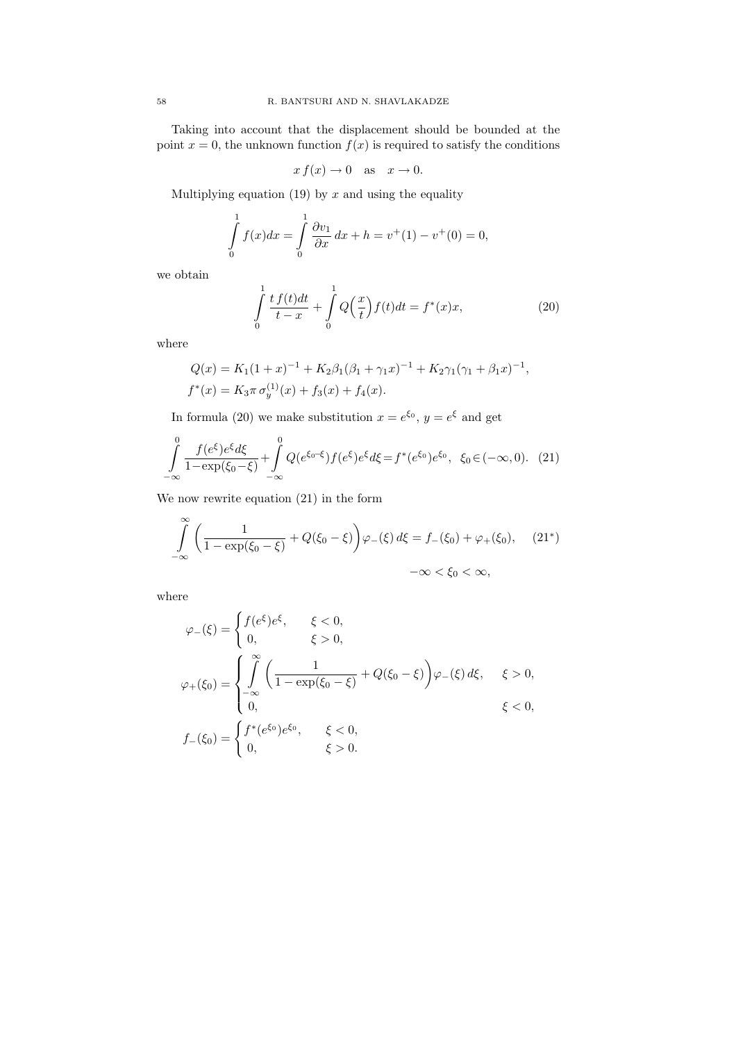Taking into account that the displacement should be bounded at the point  $x = 0$ , the unknown function  $f(x)$  is required to satisfy the conditions

$$
x f(x) \to 0 \quad \text{as} \quad x \to 0.
$$

Multiplying equation (19) by  $x$  and using the equality

$$
\int_{0}^{1} f(x)dx = \int_{0}^{1} \frac{\partial v_1}{\partial x} dx + h = v^{+}(1) - v^{+}(0) = 0,
$$

we obtain

$$
\int_{0}^{1} \frac{t f(t)dt}{t - x} + \int_{0}^{1} Q\left(\frac{x}{t}\right) f(t)dt = f^{*}(x)x,
$$
\n(20)

where

$$
Q(x) = K_1(1+x)^{-1} + K_2\beta_1(\beta_1 + \gamma_1 x)^{-1} + K_2\gamma_1(\gamma_1 + \beta_1 x)^{-1},
$$
  

$$
f^*(x) = K_3\pi \sigma_y^{(1)}(x) + f_3(x) + f_4(x).
$$

In formula (20) we make substitution  $x = e^{\xi_0}$ ,  $y = e^{\xi}$  and get

$$
\int_{-\infty}^{0} \frac{f(e^{\xi})e^{\xi}d\xi}{1 - \exp(\xi_0 - \xi)} + \int_{-\infty}^{0} Q(e^{\xi_0 - \xi})f(e^{\xi})e^{\xi}d\xi = f^*(e^{\xi_0})e^{\xi_0}, \quad \xi_0 \in (-\infty, 0). \tag{21}
$$

We now rewrite equation (21) in the form

$$
\int_{-\infty}^{\infty} \left( \frac{1}{1 - \exp(\xi_0 - \xi)} + Q(\xi_0 - \xi) \right) \varphi_{-}(\xi) d\xi = f_{-}(\xi_0) + \varphi_{+}(\xi_0), \quad (21^*)
$$

$$
-\infty < \xi_0 < \infty,
$$

where

$$
\varphi_{-}(\xi) = \begin{cases} f(e^{\xi})e^{\xi}, & \xi < 0, \\ 0, & \xi > 0, \end{cases}
$$
  

$$
\varphi_{+}(\xi_{0}) = \begin{cases} \int_{-\infty}^{\infty} \left( \frac{1}{1 - \exp(\xi_{0} - \xi)} + Q(\xi_{0} - \xi) \right) \varphi_{-}(\xi) d\xi, & \xi > 0, \\ 0, & \xi < 0, \end{cases}
$$
  

$$
f_{-}(\xi_{0}) = \begin{cases} f^{*}(e^{\xi_{0}})e^{\xi_{0}}, & \xi < 0, \\ 0, & \xi > 0. \end{cases}
$$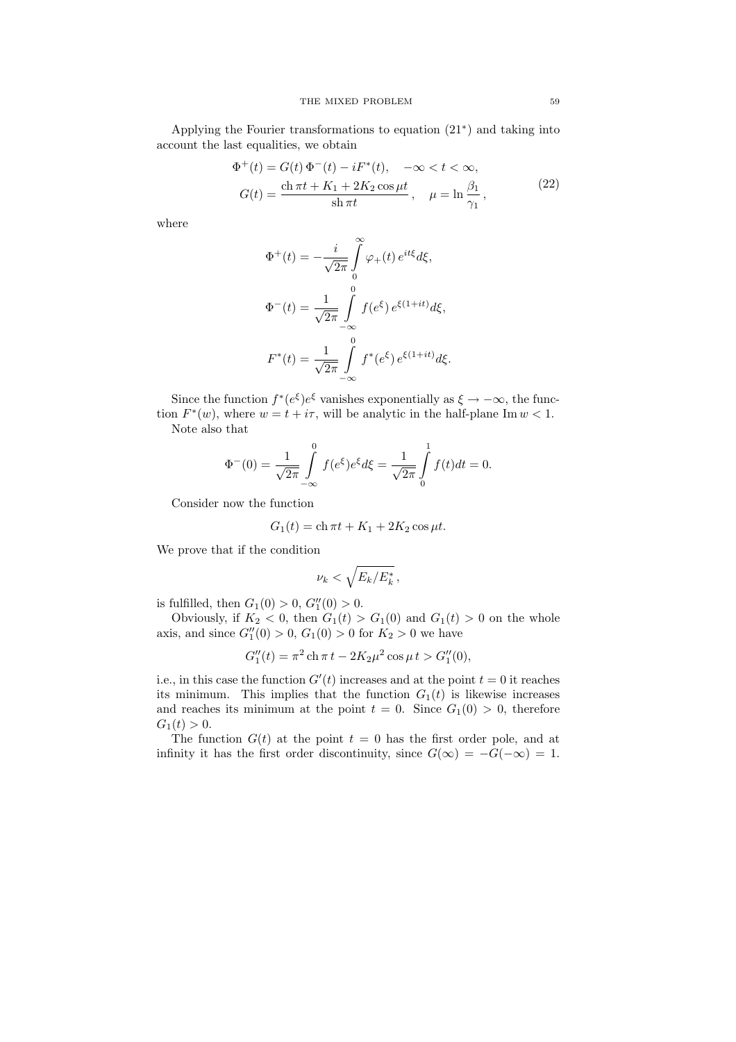Applying the Fourier transformations to equation (21<sup>∗</sup> ) and taking into account the last equalities, we obtain

$$
\Phi^{+}(t) = G(t) \Phi^{-}(t) - iF^{*}(t), \quad -\infty < t < \infty,
$$
  

$$
G(t) = \frac{\text{ch}\,\pi t + K_1 + 2K_2\cos\mu t}{\text{sh}\,\pi t}, \quad \mu = \ln\frac{\beta_1}{\gamma_1},
$$
 (22)

where

$$
\Phi^+(t) = -\frac{i}{\sqrt{2\pi}} \int_0^\infty \varphi_+(t) e^{it\xi} d\xi,
$$
  

$$
\Phi^-(t) = \frac{1}{\sqrt{2\pi}} \int_{-\infty}^0 f(e^{\xi}) e^{\xi(1+it)} d\xi,
$$
  

$$
F^*(t) = \frac{1}{\sqrt{2\pi}} \int_{-\infty}^0 f^*(e^{\xi}) e^{\xi(1+it)} d\xi.
$$

Since the function  $f^*(e^{\xi})e^{\xi}$  vanishes exponentially as  $\xi \to -\infty$ , the function  $F^*(w)$ , where  $w = t + i\tau$ , will be analytic in the half-plane Im  $w < 1$ . Note also that

$$
\Phi^{-}(0) = \frac{1}{\sqrt{2\pi}} \int_{-\infty}^{0} f(e^{\xi}) e^{\xi} d\xi = \frac{1}{\sqrt{2\pi}} \int_{0}^{1} f(t) dt = 0.
$$

Consider now the function

$$
G_1(t) = \text{ch}\,\pi t + K_1 + 2K_2\cos\mu t.
$$

We prove that if the condition

$$
\nu_k < \sqrt{E_k/E_k^*} \,,
$$

is fulfilled, then  $G_1(0) > 0$ ,  $G_1''(0) > 0$ .

Obviously, if  $K_2 < 0$ , then  $G_1(t) > G_1(0)$  and  $G_1(t) > 0$  on the whole axis, and since  $G''_1(0) > 0$ ,  $G_1(0) > 0$  for  $K_2 > 0$  we have

$$
G_1''(t) = \pi^2 \operatorname{ch} \pi t - 2K_2 \mu^2 \cos \mu t > G_1''(0),
$$

i.e., in this case the function  $G'(t)$  increases and at the point  $t = 0$  it reaches its minimum. This implies that the function  $G_1(t)$  is likewise increases and reaches its minimum at the point  $t = 0$ . Since  $G_1(0) > 0$ , therefore  $G_1(t) > 0.$ 

The function  $G(t)$  at the point  $t = 0$  has the first order pole, and at infinity it has the first order discontinuity, since  $G(\infty) = -G(-\infty) = 1$ .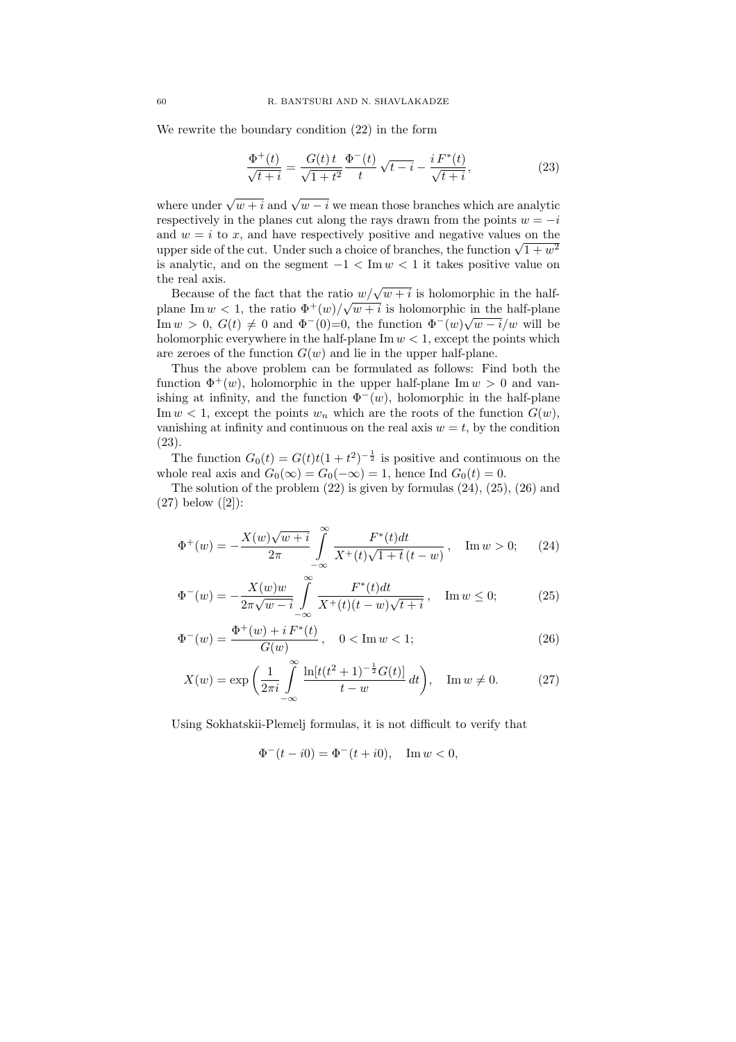We rewrite the boundary condition (22) in the form

$$
\frac{\Phi^+(t)}{\sqrt{t+i}} = \frac{G(t)t}{\sqrt{1+t^2}} \frac{\Phi^-(t)}{t} \sqrt{t-i} - \frac{i F^*(t)}{\sqrt{t+i}},
$$
\n(23)

where under  $\sqrt{w+i}$  and  $\sqrt{w-i}$  we mean those branches which are analytic respectively in the planes cut along the rays drawn from the points  $w = -i$ and  $w = i$  to x, and have respectively positive and negative values on the and  $w = i$  to x, and have respectively positive and negative values on the upper side of the cut. Under such a choice of branches, the function  $\sqrt{1 + w^2}$ is analytic, and on the segment  $-1 < \text{Im } w < 1$  it takes positive value on the real axis.

Because of the fact that the ratio  $w/\sqrt{w+i}$  is holomorphic in the halfplane Im  $w < 1$ , the ratio  $\Phi^+(w)/\sqrt{w+i}$  is holomorphic in the half-plane Im  $w > 0$ ,  $G(t) \neq 0$  and  $\Phi^-(0)=0$ , the function  $\Phi^-(w)\sqrt{w-i}/w$  will be holomorphic everywhere in the half-plane  $\text{Im } w < 1$ , except the points which are zeroes of the function  $G(w)$  and lie in the upper half-plane.

Thus the above problem can be formulated as follows: Find both the function  $\Phi^+(w)$ , holomorphic in the upper half-plane Im  $w > 0$  and vanishing at infinity, and the function  $\Phi^-(w)$ , holomorphic in the half-plane Im  $w < 1$ , except the points  $w_n$  which are the roots of the function  $G(w)$ , vanishing at infinity and continuous on the real axis  $w = t$ , by the condition (23).

The function  $G_0(t) = G(t)t(1+t^2)^{-\frac{1}{2}}$  is positive and continuous on the whole real axis and  $G_0(\infty) = G_0(-\infty) = 1$ , hence Ind  $G_0(t) = 0$ .

The solution of the problem  $(22)$  is given by formulas  $(24)$ ,  $(25)$ ,  $(26)$  and (27) below ([2]):

$$
\Phi^+(w) = -\frac{X(w)\sqrt{w+i}}{2\pi} \int_{-\infty}^{\infty} \frac{F^*(t)dt}{X^+(t)\sqrt{1+t}(t-w)}, \quad \text{Im } w > 0; \qquad (24)
$$

$$
\Phi^{-}(w) = -\frac{X(w)w}{2\pi\sqrt{w-i}} \int_{-\infty}^{\infty} \frac{F^*(t)dt}{X^+(t)(t-w)\sqrt{t+i}} , \quad \text{Im } w \le 0; \tag{25}
$$

$$
\Phi^{-}(w) = \frac{\Phi^{+}(w) + i F^{*}(t)}{G(w)}, \quad 0 < \text{Im } w < 1; \tag{26}
$$

$$
X(w) = \exp\left(\frac{1}{2\pi i} \int_{-\infty}^{\infty} \frac{\ln[t(t^2+1)^{-\frac{1}{2}}G(t)]}{t-w} dt\right), \quad \text{Im } w \neq 0. \tag{27}
$$

Using Sokhatskii-Plemelj formulas, it is not difficult to verify that

$$
\Phi^-(t - i0) = \Phi^-(t + i0), \quad \text{Im } w < 0,
$$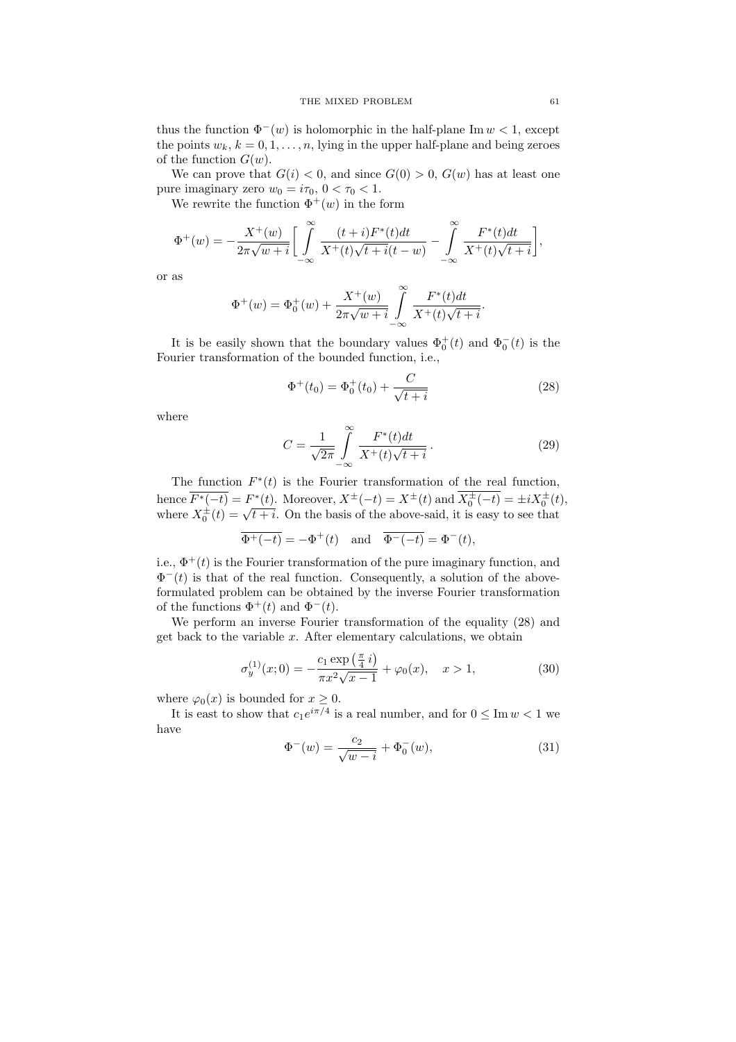thus the function  $\Phi^-(w)$  is holomorphic in the half-plane Im  $w < 1$ , except the points  $w_k$ ,  $k = 0, 1, \ldots, n$ , lying in the upper half-plane and being zeroes of the function  $G(w)$ .

We can prove that  $G(i) < 0$ , and since  $G(0) > 0$ ,  $G(w)$  has at least one pure imaginary zero  $w_0 = i\tau_0$ ,  $0 < \tau_0 < 1$ .

We rewrite the function  $\Phi^+(w)$  in the form

$$
\Phi^+(w)=-\frac{X^+(w)}{2\pi\sqrt{w+i}}\bigg[\int\limits_{-\infty}^{\infty}\frac{(t+i)F^*(t)dt}{X^+(t)\sqrt{t+i}(t-w)}-\int\limits_{-\infty}^{\infty}\frac{F^*(t)dt}{X^+(t)\sqrt{t+i}}\bigg],
$$

or as

$$
\Phi^+(w) = \Phi_0^+(w) + \frac{X^+(w)}{2\pi\sqrt{w+i}} \int_{-\infty}^{\infty} \frac{F^*(t)dt}{X^+(t)\sqrt{t+i}}.
$$

It is be easily shown that the boundary values  $\Phi_0^+(t)$  and  $\Phi_0^-(t)$  is the Fourier transformation of the bounded function, i.e.,

$$
\Phi^+(t_0) = \Phi_0^+(t_0) + \frac{C}{\sqrt{t+i}} \tag{28}
$$

where

$$
C = \frac{1}{\sqrt{2\pi}} \int_{-\infty}^{\infty} \frac{F^*(t)dt}{X^+(t)\sqrt{t+i}}.
$$
\n(29)

The function  $F^*(t)$  is the Fourier transformation of the real function, hence  $\overline{F^*(-t)} = F^*(t)$ . Moreover,  $X^{\pm}(-t) = X^{\pm}(t)$  and  $\overline{X_0^{\pm}(-t)} = \pm i X_0^{\pm}(t)$ , hence  $F^{-1}(-t) = F^{-1}(t)$ . Moreover,  $A^{-1}(t) = A^{-1}(t)$  and  $A_0^{-1}(t) = \pm iA_0^{-1}(t)$ <br>where  $X_0^{\pm}(t) = \sqrt{t + i}$ . On the basis of the above-said, it is easy to see that

$$
\overline{\Phi^+(-t)} = -\Phi^+(t) \quad \text{and} \quad \overline{\Phi^-(-t)} = \Phi^-(t),
$$

i.e.,  $\Phi^+(t)$  is the Fourier transformation of the pure imaginary function, and  $\Phi^{-}(t)$  is that of the real function. Consequently, a solution of the aboveformulated problem can be obtained by the inverse Fourier transformation of the functions  $\Phi^+(t)$  and  $\Phi^-(t)$ .

We perform an inverse Fourier transformation of the equality (28) and get back to the variable  $x$ . After elementary calculations, we obtain

$$
\sigma_y^{(1)}(x;0) = -\frac{c_1 \exp\left(\frac{\pi}{4}i\right)}{\pi x^2 \sqrt{x-1}} + \varphi_0(x), \quad x > 1,
$$
\n(30)

where  $\varphi_0(x)$  is bounded for  $x \geq 0$ .

It is east to show that  $c_1e^{i\pi/4}$  is a real number, and for  $0 \leq \text{Im } w < 1$  we have

$$
\Phi^{-}(w) = \frac{c_2}{\sqrt{w - i}} + \Phi_0^{-}(w),\tag{31}
$$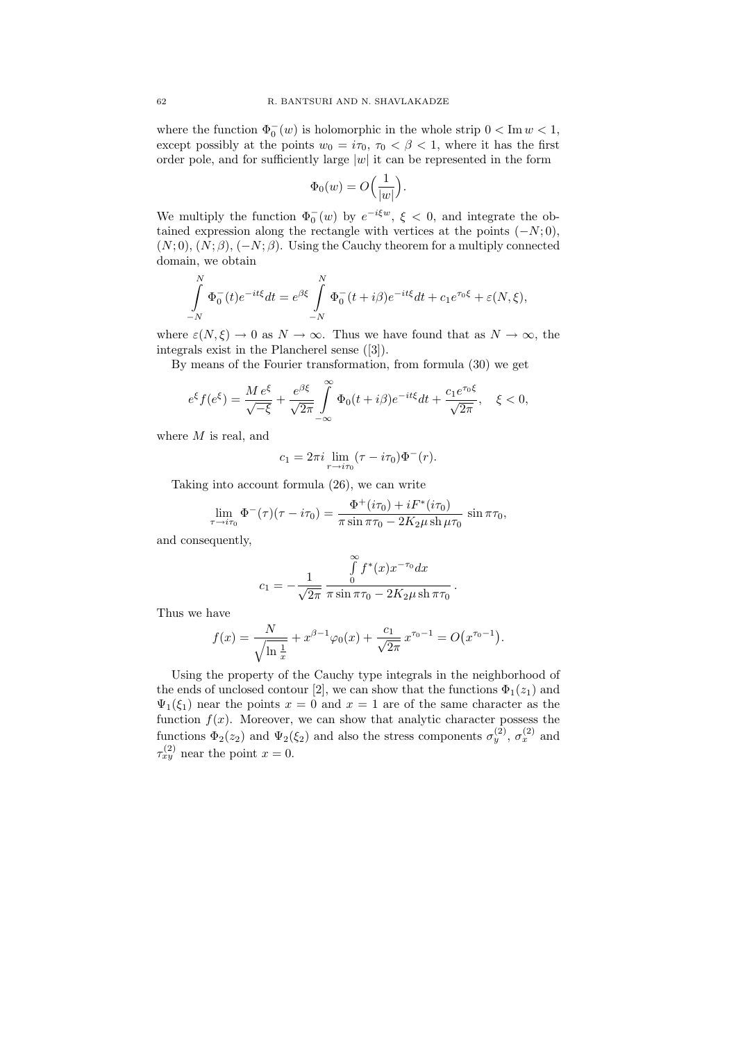where the function  $\Phi_0^-(w)$  is holomorphic in the whole strip  $0 < \text{Im } w < 1$ , except possibly at the points  $w_0 = i\tau_0$ ,  $\tau_0 < \beta < 1$ , where it has the first order pole, and for sufficiently large  $|w|$  it can be represented in the form

$$
\Phi_0(w) = O\Big(\frac{1}{|w|}\Big).
$$

We multiply the function  $\Phi_0^-(w)$  by  $e^{-i\xi w}$ ,  $\xi < 0$ , and integrate the obtained expression along the rectangle with vertices at the points  $(-N, 0)$ ,  $(N, 0), (N, \beta), (-N, \beta)$ . Using the Cauchy theorem for a multiply connected domain, we obtain

$$
\int_{-N}^{N} \Phi_0^-(t)e^{-it\xi}dt = e^{\beta\xi} \int_{-N}^{N} \Phi_0^-(t+i\beta)e^{-it\xi}dt + c_1e^{\tau_0\xi} + \varepsilon(N,\xi),
$$

where  $\varepsilon(N,\xi) \to 0$  as  $N \to \infty$ . Thus we have found that as  $N \to \infty$ , the integrals exist in the Plancherel sense ([3]).

By means of the Fourier transformation, from formula (30) we get

$$
e^{\xi}f(e^{\xi}) = \frac{M e^{\xi}}{\sqrt{-\xi}} + \frac{e^{\beta\xi}}{\sqrt{2\pi}} \int\limits_{-\infty}^{\infty} \Phi_0(t + i\beta)e^{-it\xi}dt + \frac{c_1e^{\tau_0\xi}}{\sqrt{2\pi}}, \quad \xi < 0,
$$

where  $M$  is real, and

$$
c_1 = 2\pi i \lim_{r \to i\tau_0} (\tau - i\tau_0) \Phi^-(r).
$$

Taking into account formula (26), we can write

$$
\lim_{\tau \to i\tau_0} \Phi^{-}(\tau)(\tau - i\tau_0) = \frac{\Phi^{+}(i\tau_0) + iF^{*}(i\tau_0)}{\pi \sin \pi \tau_0 - 2K_2 \mu \sin \mu \tau_0} \sin \pi \tau_0,
$$

and consequently,

$$
c_1 = -\frac{1}{\sqrt{2\pi}} \frac{\int_{0}^{\infty} f^*(x) x^{-\tau_0} dx}{\pi \sin \pi \tau_0 - 2K_2 \mu \sin \pi \tau_0}.
$$

Thus we have

$$
f(x) = \frac{N}{\sqrt{\ln \frac{1}{x}}} + x^{\beta - 1} \varphi_0(x) + \frac{c_1}{\sqrt{2\pi}} x^{\tau_0 - 1} = O(x^{\tau_0 - 1}).
$$

Using the property of the Cauchy type integrals in the neighborhood of the ends of unclosed contour [2], we can show that the functions  $\Phi_1(z_1)$  and  $\Psi_1(\xi_1)$  near the points  $x = 0$  and  $x = 1$  are of the same character as the function  $f(x)$ . Moreover, we can show that analytic character possess the functions  $\Phi_2(z_2)$  and  $\Psi_2(\xi_2)$  and also the stress components  $\sigma_y^{(2)}$ ,  $\sigma_x^{(2)}$  and  $\tau_{xy}^{(2)}$  near the point  $x=0$ .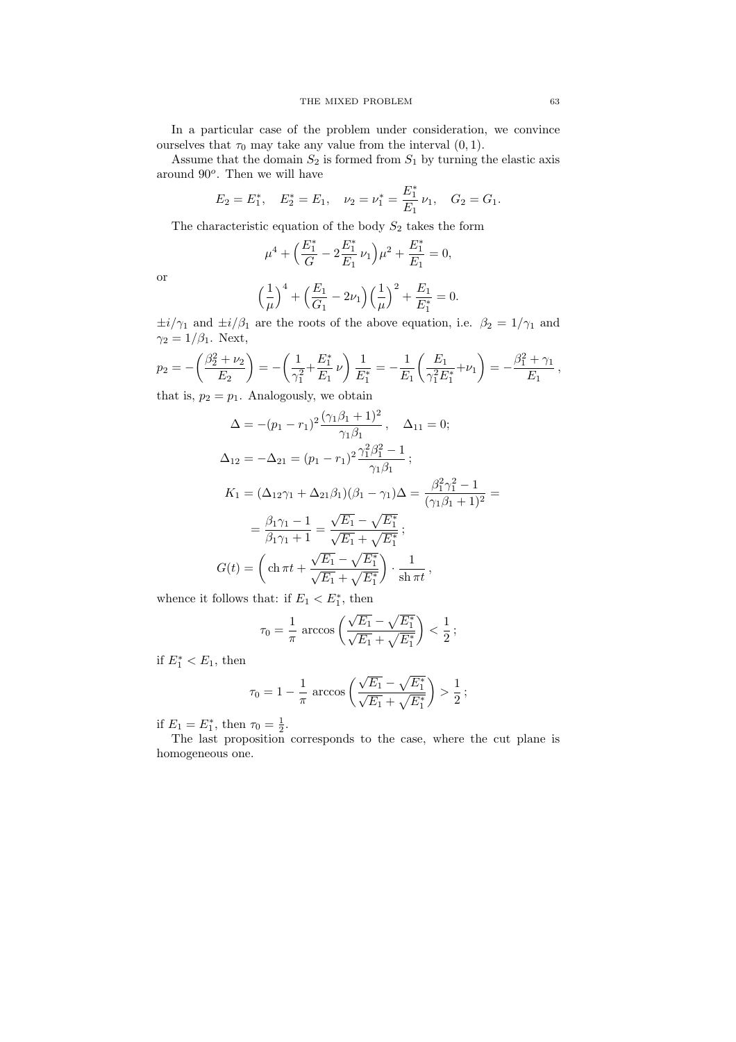In a particular case of the problem under consideration, we convince ourselves that  $\tau_0$  may take any value from the interval  $(0, 1)$ .

Assume that the domain  $S_2$  is formed from  $S_1$  by turning the elastic axis around  $90^o$ . Then we will have

$$
E_2 = E_1^*,
$$
  $E_2^* = E_1,$   $\nu_2 = \nu_1^* = \frac{E_1^*}{E_1} \nu_1,$   $G_2 = G_1.$ 

The characteristic equation of the body  $S_2$  takes the form

$$
\mu^4+\Big(\frac{E_1^*}{G}-2\frac{E_1^*}{E_1}\,\nu_1\Big)\mu^2+\frac{E_1^*}{E_1}=0,
$$

or

$$
\left(\frac{1}{\mu}\right)^4 + \left(\frac{E_1}{G_1} - 2\nu_1\right)\left(\frac{1}{\mu}\right)^2 + \frac{E_1}{E_1^*} = 0.
$$

 $\pm i/\gamma_1$  and  $\pm i/\beta_1$  are the roots of the above equation, i.e.  $\beta_2 = 1/\gamma_1$  and  $\gamma_2 = 1/\beta_1$ . Next,

$$
p_2 = -\left(\frac{\beta_2^2 + \nu_2}{E_2}\right) = -\left(\frac{1}{\gamma_1^2} + \frac{E_1^*}{E_1}\nu\right)\frac{1}{E_1^*} = -\frac{1}{E_1}\left(\frac{E_1}{\gamma_1^2 E_1^*} + \nu_1\right) = -\frac{\beta_1^2 + \gamma_1}{E_1},
$$

that is,  $p_2 = p_1$ . Analogously, we obtain

$$
\Delta = -(p_1 - r_1)^2 \frac{(\gamma_1 \beta_1 + 1)^2}{\gamma_1 \beta_1}, \quad \Delta_{11} = 0;
$$
  
\n
$$
\Delta_{12} = -\Delta_{21} = (p_1 - r_1)^2 \frac{\gamma_1^2 \beta_1^2 - 1}{\gamma_1 \beta_1};
$$
  
\n
$$
K_1 = (\Delta_{12}\gamma_1 + \Delta_{21}\beta_1)(\beta_1 - \gamma_1)\Delta = \frac{\beta_1^2 \gamma_1^2 - 1}{(\gamma_1 \beta_1 + 1)^2} =
$$
  
\n
$$
= \frac{\beta_1 \gamma_1 - 1}{\beta_1 \gamma_1 + 1} = \frac{\sqrt{E_1} - \sqrt{E_1^*}}{\sqrt{E_1} + \sqrt{E_1^*}};
$$
  
\n
$$
G(t) = \left(\text{ch }\pi t + \frac{\sqrt{E_1} - \sqrt{E_1^*}}{\sqrt{E_1} + \sqrt{E_1^*}}\right) \cdot \frac{1}{\text{sh }\pi t},
$$

whence it follows that: if  $E_1 < E_1^*$ , then

$$
\tau_0 = \frac{1}{\pi} \arccos \left( \frac{\sqrt{E_1} - \sqrt{E_1^*}}{\sqrt{E_1} + \sqrt{E_1^*}} \right) < \frac{1}{2};
$$

if  $E_1^* < E_1$ , then

$$
\tau_0 = 1 - \frac{1}{\pi} \arccos \left( \frac{\sqrt{E_1} - \sqrt{E_1^*}}{\sqrt{E_1} + \sqrt{E_1^*}} \right) > \frac{1}{2};
$$

if  $E_1 = E_1^*$ , then  $\tau_0 = \frac{1}{2}$ .

The last proposition corresponds to the case, where the cut plane is homogeneous one.